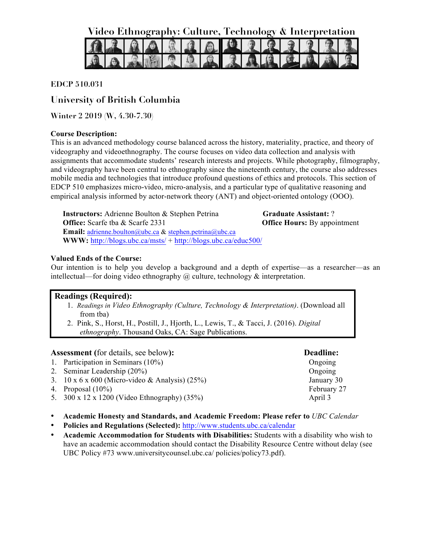**Video Ethnography: Culture, Technology & Interpretation**



# **EDCP 510.031**

# **University of British Columbia**

**Winter 2 2019 (W, 4.30-7.30)**

# **Course Description:**

This is an advanced methodology course balanced across the history, materiality, practice, and theory of videography and videoethnography. The course focuses on video data collection and analysis with assignments that accommodate students' research interests and projects. While photography, filmography, and videography have been central to ethnography since the nineteenth century, the course also addresses mobile media and technologies that introduce profound questions of ethics and protocols. This section of EDCP 510 emphasizes micro-video, micro-analysis, and a particular type of qualitative reasoning and empirical analysis informed by actor-network theory (ANT) and object-oriented ontology (OOO).

**Instructors:** Adrienne Boulton & Stephen Petrina **Office:** Scarfe tba & Scarfe 2331 **Email:** adrienne.boulton@ubc.ca & stephen.petrina@ubc.ca **Graduate Assistant:** ? **Office Hours:** By appointment **WWW:** http://blogs.ubc.ca/msts/ + http://blogs.ubc.ca/educ500/

# **Valued Ends of the Course:**

Our intention is to help you develop a background and a depth of expertise—as a researcher—as an intellectual—for doing video ethnography  $\omega$  culture, technology  $\&$  interpretation.

# **Readings (Required):**

- 1. *Readings in Video Ethnography (Culture, Technology & Interpretation)*. (Download all from tba)
- 2. Pink, S., Horst, H., Postill, J., Hjorth, L., Lewis, T., & Tacci, J. (2016). *Digital ethnography*. Thousand Oaks, CA: Sage Publications.

**Assessment (**for details, see below**): Deadline:**

- 1. Participation in Seminars (10%) Congoing Congress of the Congress of Congress of Congress of Congress of Congress of Congress of Congress of Congress of Congress of Congress of Congress of Congress of Congress of Congre
- 2. Seminar Leadership (20%) Congoing 2. Seminar Leadership (20%)
- 3. 10 x 6 x 600 (Micro-video & Analysis) (25%)
- 4. Proposal (10%)
- 5. 300 x 12 x 1200 (Video Ethnography) (35%)
- **Academic Honesty and Standards, and Academic Freedom: Please refer to** *UBC Calendar*
- **Policies and Regulations (Selected):** http://www.students.ubc.ca/calendar
- **Academic Accommodation for Students with Disabilities:** Students with a disability who wish to have an academic accommodation should contact the Disability Resource Centre without delay (see UBC Policy #73 www.universitycounsel.ubc.ca/ policies/policy73.pdf).

January 30 February 27 April 3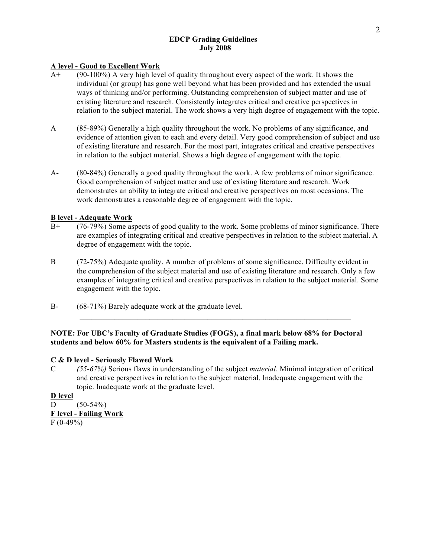# **EDCP Grading Guidelines July 2008**

# **A level - Good to Excellent Work**

- A+ (90-100%) A very high level of quality throughout every aspect of the work. It shows the individual (or group) has gone well beyond what has been provided and has extended the usual ways of thinking and/or performing. Outstanding comprehension of subject matter and use of existing literature and research. Consistently integrates critical and creative perspectives in relation to the subject material. The work shows a very high degree of engagement with the topic.
- A (85-89%) Generally a high quality throughout the work. No problems of any significance, and evidence of attention given to each and every detail. Very good comprehension of subject and use of existing literature and research. For the most part, integrates critical and creative perspectives in relation to the subject material. Shows a high degree of engagement with the topic.
- A- (80-84%) Generally a good quality throughout the work. A few problems of minor significance. Good comprehension of subject matter and use of existing literature and research. Work demonstrates an ability to integrate critical and creative perspectives on most occasions. The work demonstrates a reasonable degree of engagement with the topic.

# **B level - Adequate Work**

- B+ (76-79%) Some aspects of good quality to the work. Some problems of minor significance. There are examples of integrating critical and creative perspectives in relation to the subject material. A degree of engagement with the topic.
- B (72-75%) Adequate quality. A number of problems of some significance. Difficulty evident in the comprehension of the subject material and use of existing literature and research. Only a few examples of integrating critical and creative perspectives in relation to the subject material. Some engagement with the topic.
- B- (68-71%) Barely adequate work at the graduate level.

## **NOTE: For UBC's Faculty of Graduate Studies (FOGS), a final mark below 68% for Doctoral students and below 60% for Masters students is the equivalent of a Failing mark.**

# **C & D level - Seriously Flawed Work**

C *(55-67%)* Serious flaws in understanding of the subject *material.* Minimal integration of critical and creative perspectives in relation to the subject material. Inadequate engagement with the topic. Inadequate work at the graduate level.

**D level** D  $(50-54\%)$ **F level - Failing Work**  $F(0-49%)$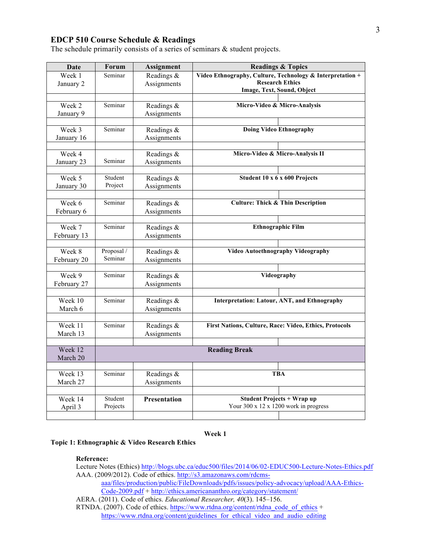# **EDCP 510 Course Schedule & Readings**

The schedule primarily consists of a series of seminars  $\&$  student projects.

| Date        | <b>Forum</b> | <b>Assignment</b>    | <b>Readings &amp; Topics</b>                              |  |
|-------------|--------------|----------------------|-----------------------------------------------------------|--|
| Week 1      | Seminar      | Readings &           | Video Ethnography, Culture, Technology & Interpretation + |  |
| January 2   |              | Assignments          | <b>Research Ethics</b>                                    |  |
|             |              |                      | Image, Text, Sound, Object                                |  |
| Week 2      |              |                      |                                                           |  |
|             | Seminar      | Readings &           | Micro-Video & Micro-Analysis                              |  |
| January 9   |              | Assignments          |                                                           |  |
| Week 3      | Seminar      | Readings &           | <b>Doing Video Ethnography</b>                            |  |
| January 16  |              | Assignments          |                                                           |  |
|             |              |                      |                                                           |  |
| Week 4      |              | Readings &           | Micro-Video & Micro-Analysis II                           |  |
| January 23  | Seminar      | Assignments          |                                                           |  |
|             |              |                      |                                                           |  |
| Week 5      | Student      | Readings &           | Student 10 x 6 x 600 Projects                             |  |
| January 30  | Project      | Assignments          |                                                           |  |
|             |              |                      |                                                           |  |
| Week 6      | Seminar      | Readings &           | <b>Culture: Thick &amp; Thin Description</b>              |  |
| February 6  |              | Assignments          |                                                           |  |
|             |              |                      |                                                           |  |
| Week 7      | Seminar      | Readings &           | <b>Ethnographic Film</b>                                  |  |
| February 13 |              | Assignments          |                                                           |  |
|             |              |                      |                                                           |  |
| Week 8      | Proposal /   | Readings &           | <b>Video Autoethnography Videography</b>                  |  |
| February 20 | Seminar      | Assignments          |                                                           |  |
|             |              |                      |                                                           |  |
| Week 9      | Seminar      | Readings &           | Videography                                               |  |
| February 27 |              | Assignments          |                                                           |  |
|             |              |                      |                                                           |  |
| Week 10     | Seminar      | Readings &           | <b>Interpretation: Latour, ANT, and Ethnography</b>       |  |
| March 6     |              | Assignments          |                                                           |  |
|             |              |                      |                                                           |  |
| Week 11     | Seminar      | Readings &           | First Nations, Culture, Race: Video, Ethics, Protocols    |  |
| March 13    |              | Assignments          |                                                           |  |
| Week 12     |              |                      |                                                           |  |
| March 20    |              | <b>Reading Break</b> |                                                           |  |
|             |              |                      |                                                           |  |
| Week 13     | Seminar      | Readings &           | <b>TBA</b>                                                |  |
| March 27    |              | Assignments          |                                                           |  |
|             |              |                      |                                                           |  |
| Week 14     | Student      | <b>Presentation</b>  | <b>Student Projects + Wrap up</b>                         |  |
| April 3     | Projects     |                      | Your 300 x 12 x 1200 work in progress                     |  |
|             |              |                      |                                                           |  |

## **Week 1**

**Topic 1: Ethnographic & Video Research Ethics**

## **Reference:**

Lecture Notes (Ethics) http://blogs.ubc.ca/educ500/files/2014/06/02-EDUC500-Lecture-Notes-Ethics.pdf AAA. (2009/2012). Code of ethics. http://s3.amazonaws.com/rdcms-

aaa/files/production/public/FileDownloads/pdfs/issues/policy-advocacy/upload/AAA-Ethics-Code-2009.pdf + http://ethics.americananthro.org/category/statement/

AERA. (2011). Code of ethics. *Educational Researcher, 40*(3). 145–156.

RTNDA. (2007). Code of ethics. https://www.rtdna.org/content/rtdna\_code\_of\_ethics + https://www.rtdna.org/content/guidelines\_for\_ethical\_video\_and\_audio\_editing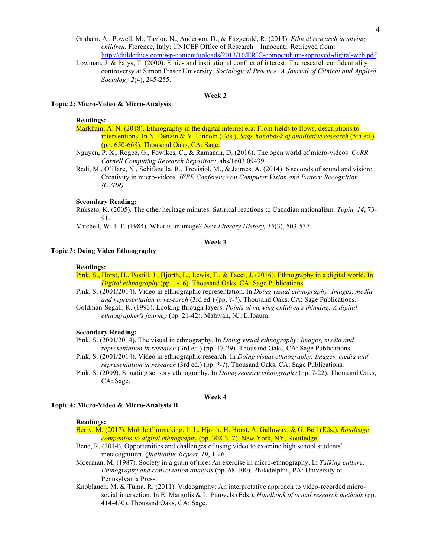- Graham, A., Powell, M., Taylor, N., Anderson, D., & Fitzgerald, R. (2013). *Ethical research involving children*. Florence, Italy: UNICEF Office of Research – Innocenti. Retrieved from: http://childethics.com/wp-content/uploads/2013/10/ERIC-compendium-approved-digital-web.pdf
- Lowman, J. & Palys, T. (2000). Ethics and institutional conflict of interest: The research confidentiality controversy at Simon Fraser University. *Sociological Practice: A Journal of Clinical and Applied Sociology 2*(4), 245-255.

#### **Week 2**

#### **Topic 2: Micro-Video & Micro-Analysis**

## **Readings:**

- Markham, A. N. (2018). Ethnography in the digital internet era: From fields to flows, descriptions to interventions. In N. Denzin & Y. Lincoln (Eds.), *Sage handbook of qualitative research* (5th ed.) (pp. 650-668). Thousand Oaks, CA: Sage.
- Nguyen, P. X., Rogez, G., Fowlkes, C., & Ramanan, D. (2016). The open world of micro-videos. *CoRR – Cornell Computing Research Repository*, abs/1603.09439.
- Redi, M., O'Hare, N., Schifanella, R., Trevisiol, M., & Jaimes, A. (2014). 6 seconds of sound and vision: Creativity in micro-videos. *IEEE Conference on Computer Vision and Pattern Recognition (CVPR).*

## **Secondary Reading:**

Rukszto, K. (2005). The other heritage minutes: Satirical reactions to Canadian nationalism*. Topia, 14*, 73- 91.

Mitchell, W. J. T. (1984). What is an image? *New Literary History, 15*(3), 503-537.

## **Week 3**

#### **Topic 3: Doing Video Ethnography**

#### **Readings:**

Pink, S., Horst, H., Postill, J., Hjorth, L., Lewis, T., & Tacci, J. (2016). Ethnography in a digital world. In *Digital ethnography* (pp. 1-16). Thousand Oaks, CA: Sage Publications.

- Pink, S. (2001/2014). Video in ethnographic representation. In *Doing visual ethnography: Images, media and representation in research* (3rd ed.) (pp. ?-?). Thousand Oaks, CA: Sage Publications.
- Goldman-Segall, R. (1993). Looking through layers. *Points of viewing children's thinking: A digital ethnographer's journey* (pp. 21-42). Mahwah, NJ: Erlbaum.

#### **Secondary Reading:**

- Pink, S. (2001/2014). The visual in ethnography. In *Doing visual ethnography: Images, media and representation in research* (3rd ed.) (pp. 17-29). Thousand Oaks, CA: Sage Publications.
- Pink, S. (2001/2014). Video in ethnographic research. In *Doing visual ethnography: Images, media and representation in research* (3rd ed.) (pp. ?-?). Thousand Oaks, CA: Sage Publications.
- Pink, S. (2009). Situating sensory ethnography. In *Doing sensory ethnography* (pp. 7-22). Thousand Oaks, CA: Sage.

### **Week 4**

## **Topic 4: Micro-Video & Micro-Analysis II**

#### **Readings:**

- Berry, M. (2017). Mobile filmmaking. In L. Hjorth, H. Horst, A. Galloway, & G. Bell (Eds.), *Routledge companion to digital ethnography* (pp. 308-317). New York, NY, Routledge.
- Bene, R. (2014). Opportunities and challenges of using video to examine high school students' metacognition. *Qualitative Report, 19*, 1-26.
- Moerman, M. (1987). Society in a grain of rice: An exercise in micro-ethnography. In *Talking culture: Ethnography and conversation analysis* (pp. 68-100). Philadelphia, PA: University of Pennsylvania Press.
- Knoblauch, M. & Tuma, R. (2011). Videography: An interpretative approach to video-recorded microsocial interaction. In E. Margolis & L. Pauwels (Eds.), *Handbook of visual research methods* (pp. 414-430). Thousand Oaks, CA: Sage.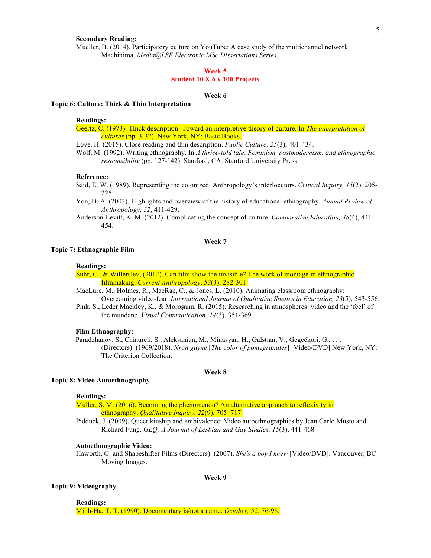## **Secondary Reading:**

Mueller, B. (2014). Participatory culture on YouTube: A case study of the multichannel network Machinima. *Media@LSE Electronic MSc Dissertations Series*.

## **Week 5**

## **Student 10 X 6 x 100 Projects**

#### **Week 6**

## **Topic 6: Culture: Thick & Thin Interpretation**

#### **Readings:**

Geertz, C. (1973). Thick description: Toward an interpretive theory of culture. In *The interpretation of cultures* (pp. 3-32). New York, NY: Basic Books.

Love, H. (2015). Close reading and thin description. *Public Culture, 25*(3), 401-434.

Wolf, M. (1992). Writing ethnography. In *A thrice-told tale*: *Feminism, postmodernism, and ethnographic responsibility* (pp. 127-142). Stanford, CA: Stanford University Press.

## **Reference:**

- Said, E. W. (1989). Representing the colonized: Anthropology's interlocutors. *Critical Inquiry, 15*(2), 205- 225.
- Yon, D. A. (2003). Highlights and overview of the history of educational ethnography. *Annual Review of Anthropology, 32*, 411-429.
- Anderson-Levitt, K. M. (2012). Complicating the concept of culture. *Comparative Education, 48*(4), 441– 454.

#### **Week 7**

#### **Topic 7: Ethnographic Film**

#### **Readings:**

Suhr, C. & Willerslev, (2012). Can film show the invisible? The work of montage in ethnographic filmmaking. *Current Anthropology*, *53*(3), 282-301.

MacLure, M., Holmes, R., MacRae, C., & Jones, L. (2010). Animating classroom ethnography: Overcoming video-fear. *International Journal of Qualitative Studies in Education, 23*(5), 543-556.

Pink, S., Leder Mackley, K., & Moroşanu, R. (2015). Researching in atmospheres: video and the 'feel' of the mundane. *Visual Communication*, *14*(3), 351-369.

#### **Film Ethnography:**

Paradzhanov, S., Chiaureli, S., Aleksanian, M., Minasyan, H., Galstian, V., Gegečkori, G., . . . (Directors). (1969/2018). *Nṛan guyne* [*The color of pomegranates*] [Video/DVD] New York, NY: The Criterion Collection.

#### **Week 8**

### **Topic 8: Video Autoethnography**

#### **Readings:**

Müller, S. M. (2016). Becoming the phenomenon? An alternative approach to reflexivity in ethnography. *Qualitative Inquiry*, *22*(9), 705–717.

Pidduck, J. (2009). Queer kinship and ambivalence: Video autoethnographies by Jean Carlo Musto and Richard Fung. *GLQ: A Journal of Lesbian and Gay Studies, 15*(3), 441-468

## **Autoethnographic Video:**

Haworth, G. and Shapeshifter Films (Directors). (2007). *She's a boy I knew* [Video/DVD]. Vancouver, BC: Moving Images.

#### **Week 9**

#### **Topic 9: Videography**

**Readings:**

Minh-Ha, T. T. (1990). Documentary is/not a name. *October, 52*, 76-98.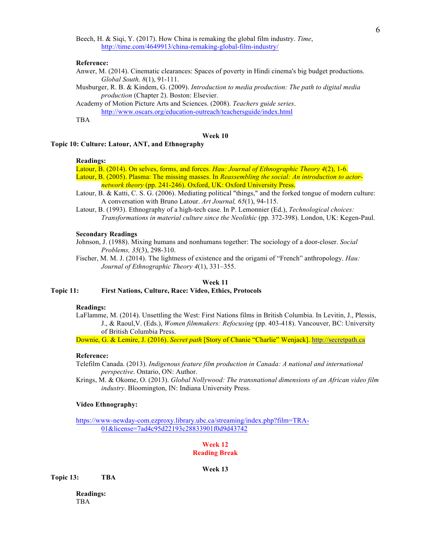Beech, H. & Siqi, Y. (2017). How China is remaking the global film industry. *Time*, http://time.com/4649913/china-remaking-global-film-industry/

#### **Reference:**

- Anwer, M. (2014). Cinematic clearances: Spaces of poverty in Hindi cinema's big budget productions. *Global South, 8*(1), 91-111.
- Musburger, R. B. & Kindem, G. (2009). *Introduction to media production: The path to digital media production* (Chapter 2). Boston: Elsevier.

Academy of Motion Picture Arts and Sciences. (2008). *Teachers guide series*. http://www.oscars.org/education-outreach/teachersguide/index.html

TBA

## **Week 10**

## **Topic 10: Culture: Latour, ANT, and Ethnography**

## **Readings:**

Latour, B. (2014). On selves, forms, and forces. *Hau: Journal of Ethnographic Theory 4*(2), 1-6. Latour, B. (2005). Plasma: The missing masses. In *Reassembling the social: An introduction to actornetwork theory* (pp. 241-246). Oxford, UK: Oxford University Press.

- Latour, B. & Katti, C. S. G. (2006). Mediating political "things," and the forked tongue of modern culture: A conversation with Bruno Latour. *Art Journal, 65*(1), 94-115.
- Latour, B. (1993). Ethnography of a high-tech case. In P. Lemonnier (Ed.), *Technological choices: Transformations in material culture since the Neolithic* (pp. 372-398). London, UK: Kegen-Paul.

#### **Secondary Readings**

- Johnson, J. (1988). Mixing humans and nonhumans together: The sociology of a door-closer. *Social Problems, 35*(3), 298-310.
- Fischer, M. M. J. (2014). The lightness of existence and the origami of "French" anthropology. *Hau: Journal of Ethnographic Theory 4*(1), 331–355.

## **Week 11**

### **Topic 11: First Nations, Culture, Race: Video, Ethics, Protocols**

## **Readings:**

LaFlamme, M. (2014). Unsettling the West: First Nations films in British Columbia. In Levitin, J., Plessis, J., & Raoul,V. (Eds.), *Women filmmakers: Refocusing* (pp. 403-418). Vancouver, BC: University of British Columbia Press.

Downie, G. & Lemire, J. (2016). *Secret path* [Story of Chanie "Charlie" Wenjack]. http://secretpath.ca

#### **Reference:**

Telefilm Canada. (2013). *Indigenous feature film production in Canada: A national and international perspective*. Ontario, ON: Author.

Krings, M. & Okome, O. (2013). *Global Nollywood: The transnational dimensions of an African video film industry*. Bloomington, IN: Indiana University Press.

### **Video Ethnography:**

https://www-newday-com.ezproxy.library.ubc.ca/streaming/index.php?film=TRA-01&license=7ad4c95d22193c28833901f0d9d43742

## **Week 12 Reading Break**

**Week 13**

**Topic 13: TBA**

**Readings:** TBA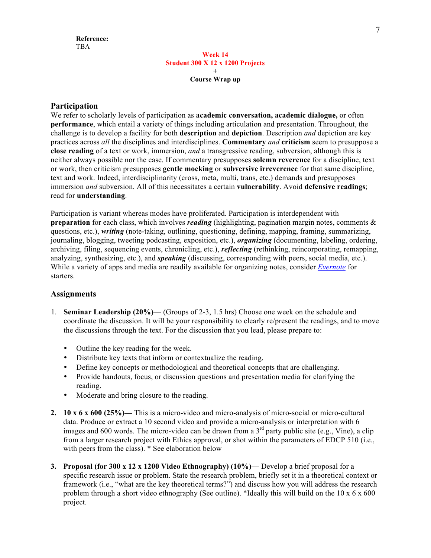## **Week 14 Student 300 X 12 x 1200 Projects + Course Wrap up**

# **Participation**

We refer to scholarly levels of participation as **academic conversation, academic dialogue,** or often **performance**, which entail a variety of things including articulation and presentation. Throughout, the challenge is to develop a facility for both **description** and **depiction**. Description *and* depiction are key practices across *all* the disciplines and interdisciplines. **Commentary** *and* **criticism** seem to presuppose a **close reading** of a text or work, immersion, *and* a transgressive reading, subversion, although this is neither always possible nor the case. If commentary presupposes **solemn reverence** for a discipline, text or work, then criticism presupposes **gentle mocking** or **subversive irreverence** for that same discipline, text and work. Indeed, interdisciplinarity (cross, meta, multi, trans, etc.) demands and presupposes immersion *and* subversion. All of this necessitates a certain **vulnerability**. Avoid **defensive readings**; read for **understanding**.

Participation is variant whereas modes have proliferated. Participation is interdependent with **preparation** for each class, which involves *reading* (highlighting, pagination margin notes, comments & questions, etc.), *writing* (note-taking, outlining, questioning, defining, mapping, framing, summarizing, journaling, blogging, tweeting podcasting, exposition, etc.), *organizing* (documenting, labeling, ordering, archiving, filing, sequencing events, chronicling, etc.), *reflecting* (rethinking, reincorporating, remapping, analyzing, synthesizing, etc.), and *speaking* (discussing, corresponding with peers, social media, etc.). While a variety of apps and media are readily available for organizing notes, consider *Evernote* for starters.

# **Assignments**

- 1. **Seminar Leadership (20%)** (Groups of 2-3, 1.5 hrs) Choose one week on the schedule and coordinate the discussion. It will be your responsibility to clearly re/present the readings, and to move the discussions through the text. For the discussion that you lead, please prepare to:
	- Outline the key reading for the week.
	- Distribute key texts that inform or contextualize the reading.
	- Define key concepts or methodological and theoretical concepts that are challenging.
	- Provide handouts, focus, or discussion questions and presentation media for clarifying the reading.
	- Moderate and bring closure to the reading.
- **2. 10 x 6 x 600 (25%)—** This is a micro-video and micro-analysis of micro-social or micro-cultural data. Produce or extract a 10 second video and provide a micro-analysis or interpretation with 6 images and 600 words. The micro-video can be drawn from a  $3<sup>rd</sup>$  party public site (e.g., Vine), a clip from a larger research project with Ethics approval, or shot within the parameters of EDCP 510 (i.e., with peers from the class). \* See elaboration below
- **3. Proposal (for 300 x 12 x 1200 Video Ethnography) (10%)—** Develop a brief proposal for a specific research issue or problem. State the research problem, briefly set it in a theoretical context or framework (i.e., "what are the key theoretical terms?") and discuss how you will address the research problem through a short video ethnography (See outline). \*Ideally this will build on the  $10 \times 6 \times 600$ project.